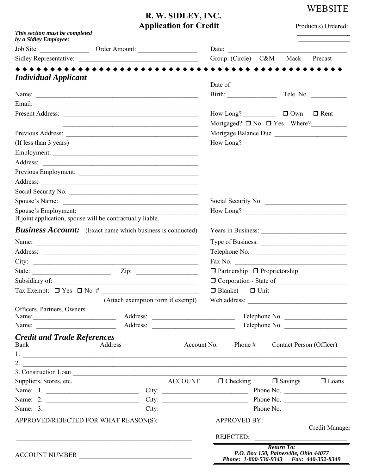# **WEBSITE**

## **R. W. SIDLEY, INC. Application for Credit** Product(s) Ordered:

| This section must be completed<br>by a Sidley Employee:                      |                                                                                                                                                                                                                               |                |                                                                                                       |                                                                    |                |                                        |  |
|------------------------------------------------------------------------------|-------------------------------------------------------------------------------------------------------------------------------------------------------------------------------------------------------------------------------|----------------|-------------------------------------------------------------------------------------------------------|--------------------------------------------------------------------|----------------|----------------------------------------|--|
|                                                                              |                                                                                                                                                                                                                               |                |                                                                                                       | Date:                                                              |                |                                        |  |
|                                                                              |                                                                                                                                                                                                                               |                |                                                                                                       | Group: (Circle) C&M Mack Precast                                   |                |                                        |  |
|                                                                              |                                                                                                                                                                                                                               |                |                                                                                                       |                                                                    |                |                                        |  |
| <b>Individual Applicant</b>                                                  |                                                                                                                                                                                                                               |                | Date of                                                                                               |                                                                    |                |                                        |  |
|                                                                              |                                                                                                                                                                                                                               |                |                                                                                                       |                                                                    |                | Tele. No.                              |  |
|                                                                              |                                                                                                                                                                                                                               |                |                                                                                                       |                                                                    |                |                                        |  |
|                                                                              |                                                                                                                                                                                                                               |                |                                                                                                       | How Long? $\Box$ $\Box$ Own $\Box$ Rent                            |                |                                        |  |
|                                                                              | the control of the control of the control of the control of the control of the control of the control of the control of the control of the control of the control of the control of the control of the control of the control |                |                                                                                                       |                                                                    |                | Mortgaged? $\Box$ No $\Box$ Yes Where? |  |
|                                                                              |                                                                                                                                                                                                                               |                |                                                                                                       |                                                                    |                | Mortgage Balance Due                   |  |
| (If less than 3 years) $\overline{\qquad \qquad }$                           |                                                                                                                                                                                                                               |                |                                                                                                       |                                                                    |                |                                        |  |
| Employment:                                                                  |                                                                                                                                                                                                                               |                |                                                                                                       |                                                                    |                |                                        |  |
|                                                                              |                                                                                                                                                                                                                               |                |                                                                                                       |                                                                    |                |                                        |  |
| Previous Employment:                                                         |                                                                                                                                                                                                                               |                |                                                                                                       |                                                                    |                |                                        |  |
|                                                                              |                                                                                                                                                                                                                               |                |                                                                                                       |                                                                    |                |                                        |  |
|                                                                              |                                                                                                                                                                                                                               |                |                                                                                                       |                                                                    |                |                                        |  |
| Spouse's Name:                                                               |                                                                                                                                                                                                                               |                |                                                                                                       |                                                                    |                | Social Security No.                    |  |
| Spouse's Employment:                                                         |                                                                                                                                                                                                                               |                |                                                                                                       |                                                                    |                |                                        |  |
| If joint application, spouse will be contractually liable.                   |                                                                                                                                                                                                                               |                |                                                                                                       |                                                                    |                |                                        |  |
| <b>Business Account:</b> (Exact name which business is conducted)            |                                                                                                                                                                                                                               |                |                                                                                                       |                                                                    |                | Years in Business:                     |  |
|                                                                              |                                                                                                                                                                                                                               |                |                                                                                                       |                                                                    |                |                                        |  |
|                                                                              |                                                                                                                                                                                                                               |                |                                                                                                       |                                                                    |                | Telephone No.                          |  |
|                                                                              |                                                                                                                                                                                                                               |                |                                                                                                       |                                                                    |                |                                        |  |
| State: $\frac{\text{Xiip:}}{\text{Xiip:}}$                                   |                                                                                                                                                                                                                               |                |                                                                                                       | $\Box$ Partnership $\Box$ Proprietorship                           |                |                                        |  |
|                                                                              |                                                                                                                                                                                                                               |                |                                                                                                       |                                                                    |                |                                        |  |
|                                                                              |                                                                                                                                                                                                                               |                |                                                                                                       | $\Box$ Blanket $\Box$ Unit                                         |                |                                        |  |
|                                                                              | (Attach exemption form if exempt) Web address: _________________________________                                                                                                                                              |                |                                                                                                       |                                                                    |                |                                        |  |
| Officers, Partners, Owners                                                   |                                                                                                                                                                                                                               |                |                                                                                                       |                                                                    |                |                                        |  |
| Name: $\frac{1}{\sqrt{1-\frac{1}{2}} \cdot \frac{1}{2}}$                     |                                                                                                                                                                                                                               |                |                                                                                                       | Telephone No.<br>Telephone No.                                     |                |                                        |  |
| Name: $\frac{1}{\sqrt{1-\frac{1}{2}} \cdot \frac{1}{2}}$                     |                                                                                                                                                                                                                               |                |                                                                                                       |                                                                    |                |                                        |  |
| <b>Credit and Trade References</b><br>Bank                                   | Address                                                                                                                                                                                                                       |                |                                                                                                       | Account No. Phone $#$                                              |                | Contact Person (Officer)               |  |
| 2. $\qquad \qquad$                                                           |                                                                                                                                                                                                                               |                |                                                                                                       |                                                                    |                |                                        |  |
| 3. Construction Loan                                                         |                                                                                                                                                                                                                               |                |                                                                                                       |                                                                    |                |                                        |  |
| Suppliers, Stores, etc.                                                      |                                                                                                                                                                                                                               | <b>ACCOUNT</b> |                                                                                                       | $\Box$ Checking                                                    | $\Box$ Savings | $\Box$ Loans                           |  |
|                                                                              |                                                                                                                                                                                                                               |                |                                                                                                       |                                                                    |                |                                        |  |
| Name: 2.                                                                     |                                                                                                                                                                                                                               |                |                                                                                                       |                                                                    |                |                                        |  |
|                                                                              |                                                                                                                                                                                                                               |                |                                                                                                       |                                                                    |                |                                        |  |
| APPROVED/REJECTED FOR WHAT REASON(S):                                        |                                                                                                                                                                                                                               |                |                                                                                                       | <b>APPROVED BY:</b><br><u> Alexandria de la contrada de la con</u> |                | Credit Manager                         |  |
|                                                                              |                                                                                                                                                                                                                               |                |                                                                                                       |                                                                    |                | REJECTED:                              |  |
| <u> 1989 - Johann Stoff, amerikansk politiker (* 1908)</u><br>ACCOUNT NUMBER |                                                                                                                                                                                                                               |                | <b>Return To:</b><br>P.O. Box 150, Painesville, Ohio 44077<br>Phone: 1-800-536-9343 Fax: 440-352-8349 |                                                                    |                |                                        |  |